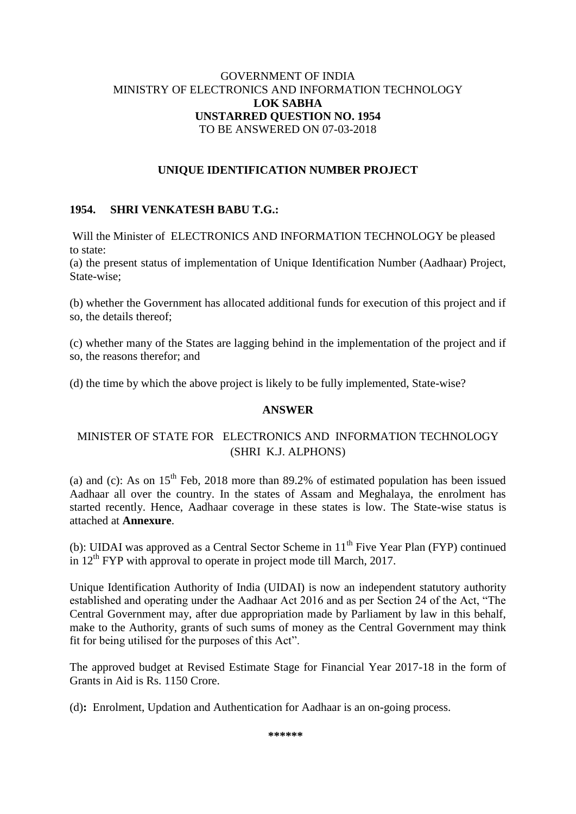### GOVERNMENT OF INDIA MINISTRY OF ELECTRONICS AND INFORMATION TECHNOLOGY **LOK SABHA UNSTARRED QUESTION NO. 1954** TO BE ANSWERED ON 07-03-2018

### **UNIQUE IDENTIFICATION NUMBER PROJECT**

## **1954. SHRI VENKATESH BABU T.G.:**

Will the Minister of ELECTRONICS AND INFORMATION TECHNOLOGY be pleased to state:

(a) the present status of implementation of Unique Identification Number (Aadhaar) Project, State-wise;

(b) whether the Government has allocated additional funds for execution of this project and if so, the details thereof;

(c) whether many of the States are lagging behind in the implementation of the project and if so, the reasons therefor; and

(d) the time by which the above project is likely to be fully implemented, State-wise?

#### **ANSWER**

# MINISTER OF STATE FOR ELECTRONICS AND INFORMATION TECHNOLOGY (SHRI K.J. ALPHONS)

(a) and (c): As on  $15<sup>th</sup>$  Feb, 2018 more than 89.2% of estimated population has been issued Aadhaar all over the country. In the states of Assam and Meghalaya, the enrolment has started recently. Hence, Aadhaar coverage in these states is low. The State-wise status is attached at **Annexure**.

(b): UIDAI was approved as a Central Sector Scheme in  $11<sup>th</sup>$  Five Year Plan (FYP) continued in  $12<sup>th</sup> FYP$  with approval to operate in project mode till March, 2017.

Unique Identification Authority of India (UIDAI) is now an independent statutory authority established and operating under the Aadhaar Act 2016 and as per Section 24 of the Act, "The Central Government may, after due appropriation made by Parliament by law in this behalf, make to the Authority, grants of such sums of money as the Central Government may think fit for being utilised for the purposes of this Act".

The approved budget at Revised Estimate Stage for Financial Year 2017-18 in the form of Grants in Aid is Rs. 1150 Crore.

(d)**:** Enrolment, Updation and Authentication for Aadhaar is an on-going process.

**\*\*\*\*\*\***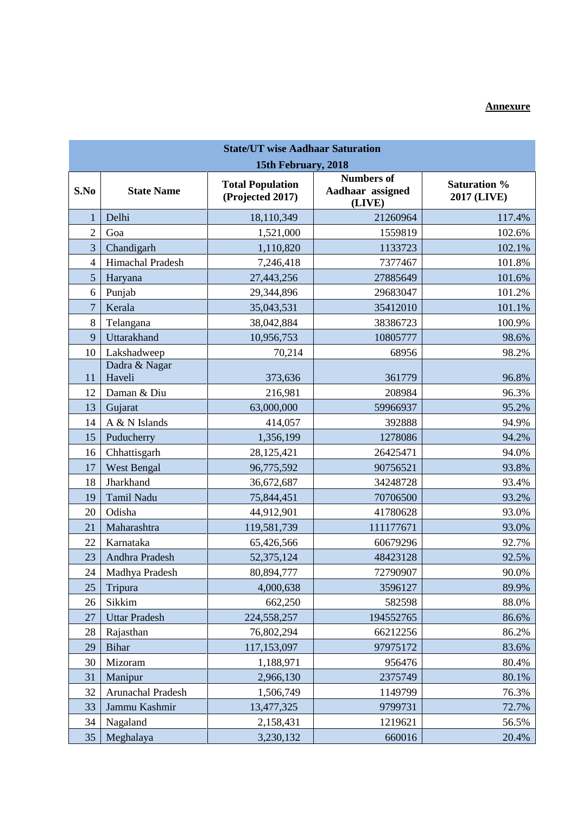# **Annexure**

| <b>State/UT wise Aadhaar Saturation</b> |                         |                                             |                                                 |                                    |  |  |  |
|-----------------------------------------|-------------------------|---------------------------------------------|-------------------------------------------------|------------------------------------|--|--|--|
| 15th February, 2018                     |                         |                                             |                                                 |                                    |  |  |  |
| S.No                                    | <b>State Name</b>       | <b>Total Population</b><br>(Projected 2017) | <b>Numbers of</b><br>Aadhaar assigned<br>(LIVE) | <b>Saturation %</b><br>2017 (LIVE) |  |  |  |
|                                         | Delhi                   | 18,110,349                                  | 21260964                                        | 117.4%                             |  |  |  |
| $\overline{2}$                          | Goa                     | 1,521,000                                   | 1559819                                         | 102.6%                             |  |  |  |
| 3                                       | Chandigarh              | 1,110,820                                   | 1133723                                         | 102.1%                             |  |  |  |
| $\overline{4}$                          | Himachal Pradesh        | 7,246,418                                   | 7377467                                         | 101.8%                             |  |  |  |
| 5                                       | Haryana                 | 27,443,256                                  | 27885649                                        | 101.6%                             |  |  |  |
| 6                                       | Punjab                  | 29,344,896                                  | 29683047                                        | 101.2%                             |  |  |  |
| $\overline{7}$                          | Kerala                  | 35,043,531                                  | 35412010                                        | 101.1%                             |  |  |  |
| 8                                       | Telangana               | 38,042,884                                  | 38386723                                        | 100.9%                             |  |  |  |
| 9                                       | Uttarakhand             | 10,956,753                                  | 10805777                                        | 98.6%                              |  |  |  |
| 10                                      | Lakshadweep             | 70,214                                      | 68956                                           | 98.2%                              |  |  |  |
| 11                                      | Dadra & Nagar<br>Haveli | 373,636                                     | 361779                                          | 96.8%                              |  |  |  |
| 12                                      | Daman & Diu             | 216,981                                     | 208984                                          | 96.3%                              |  |  |  |
| 13                                      | Gujarat                 | 63,000,000                                  | 59966937                                        | 95.2%                              |  |  |  |
| 14                                      | A & N Islands           | 414,057                                     | 392888                                          | 94.9%                              |  |  |  |
| 15                                      | Puducherry              | 1,356,199                                   | 1278086                                         | 94.2%                              |  |  |  |
| 16                                      | Chhattisgarh            | 28,125,421                                  | 26425471                                        | 94.0%                              |  |  |  |
| 17                                      | <b>West Bengal</b>      | 96,775,592                                  | 90756521                                        | 93.8%                              |  |  |  |
| 18                                      | Jharkhand               | 36,672,687                                  | 34248728                                        | 93.4%                              |  |  |  |
| 19                                      | Tamil Nadu              | 75,844,451                                  | 70706500                                        | 93.2%                              |  |  |  |
| 20                                      | Odisha                  | 44,912,901                                  | 41780628                                        | 93.0%                              |  |  |  |
| 21                                      | Maharashtra             | 119,581,739                                 | 111177671                                       | 93.0%                              |  |  |  |
| 22                                      | Karnataka               | 65,426,566                                  | 60679296                                        | 92.7%                              |  |  |  |
| 23                                      | Andhra Pradesh          | 52,375,124                                  | 48423128                                        | 92.5%                              |  |  |  |
| 24                                      | Madhya Pradesh          | 80,894,777                                  | 72790907                                        | 90.0%                              |  |  |  |
| 25                                      | Tripura                 | 4,000,638                                   | 3596127                                         | 89.9%                              |  |  |  |
| 26                                      | Sikkim                  | 662,250                                     | 582598                                          | 88.0%                              |  |  |  |
| 27                                      | <b>Uttar Pradesh</b>    | 224,558,257                                 | 194552765                                       | 86.6%                              |  |  |  |
| 28                                      | Rajasthan               | 76,802,294                                  | 66212256                                        | 86.2%                              |  |  |  |
| 29                                      | <b>Bihar</b>            | 117,153,097                                 | 97975172                                        | 83.6%                              |  |  |  |
| 30                                      | Mizoram                 | 1,188,971                                   | 956476                                          | 80.4%                              |  |  |  |
| 31                                      | Manipur                 | 2,966,130                                   | 2375749                                         | 80.1%                              |  |  |  |
| 32                                      | Arunachal Pradesh       | 1,506,749                                   | 1149799                                         | 76.3%                              |  |  |  |
| 33                                      | Jammu Kashmir           | 13,477,325                                  | 9799731                                         | 72.7%                              |  |  |  |
| 34                                      | Nagaland                | 2,158,431                                   | 1219621                                         | 56.5%                              |  |  |  |
| 35                                      | Meghalaya               | 3,230,132                                   | 660016                                          | 20.4%                              |  |  |  |